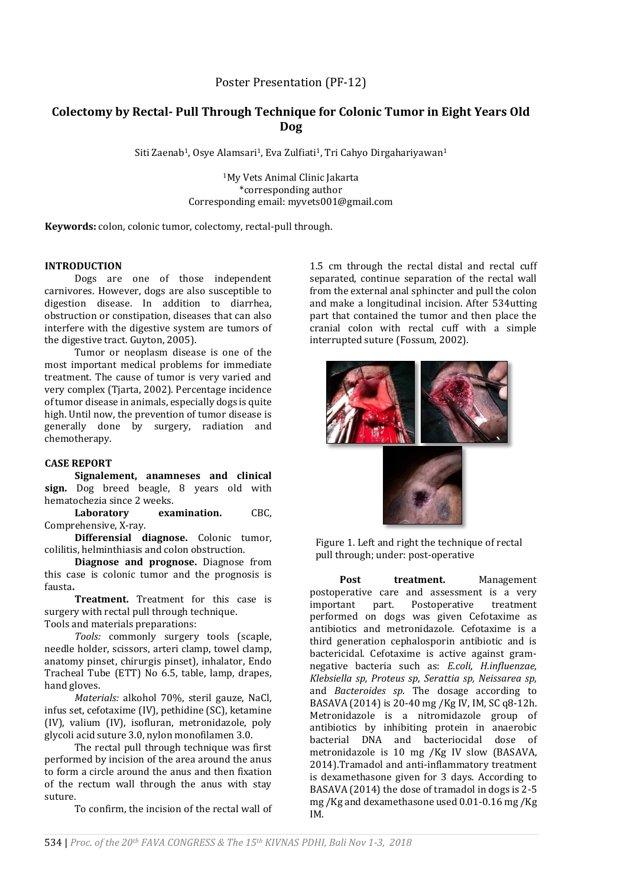# **Colectomy by Rectal- Pull Through Technique for Colonic Tumor in Eight Years Old Dog**

Siti Zaenab<sup>1</sup>, Osye Alamsari<sup>1</sup>, Eva Zulfiati<sup>1</sup>, Tri Cahyo Dirgahariyawan<sup>1</sup>

<sup>1</sup>My Vets Animal Clinic Jakarta \*corresponding author Corresponding email: myvets001@gmail.com

**Keywords:** colon, colonic tumor, colectomy, rectal-pull through.

# **INTRODUCTION**

Dogs are one of those independent carnivores. However, dogs are also susceptible to digestion disease. In addition to diarrhea, obstruction or constipation, diseases that can also interfere with the digestive system are tumors of the digestive tract. Guyton, 2005).

Tumor or neoplasm disease is one of the most important medical problems for immediate treatment. The cause of tumor is very varied and very complex (Tjarta, 2002). Percentage incidence of tumor disease in animals, especially dogs is quite high. Until now, the prevention of tumor disease is generally done by surgery, radiation and chemotherapy.

# **CASE REPORT**

**Signalement, anamneses and clinical sign.** Dog breed beagle, 8 years old with hematochezia since 2 weeks.<br> **Laboratory** exa

**examination.** CBC, Comprehensive, X-ray.

**Differensial diagnose.** Colonic tumor, colilitis, helminthiasis and colon obstruction.

**Diagnose and prognose.** Diagnose from this case is colonic tumor and the prognosis is fausta**.**

**Treatment.** Treatment for this case is surgery with rectal pull through technique. Tools and materials preparations:

*Tools:* commonly surgery tools (scaple, needle holder, scissors, arteri clamp, towel clamp, anatomy pinset, chirurgis pinset), inhalator, Endo Tracheal Tube (ETT) No 6.5, table, lamp, drapes, hand gloves.

*Materials:* alkohol 70%, steril gauze, NaCl, infus set, cefotaxime (IV), pethidine (SC), ketamine (IV), valium (IV), isofluran, metronidazole, poly glycoli acid suture 3.0, nylon monofilamen 3.0.

The rectal pull through technique was first performed by incision of the area around the anus to form a circle around the anus and then fixation of the rectum wall through the anus with stay suture.

To confirm, the incision of the rectal wall of

1.5 cm through the rectal distal and rectal cuff separated, continue separation of the rectal wall from the external anal sphincter and pull the colon and make a longitudinal incision. After 534utting part that contained the tumor and then place the cranial colon with rectal cuff with a simple interrupted suture (Fossum, 2002).





Figure 1. Left and right the technique of rectal pull through; under: post-operative

Post treatment. Management postoperative care and assessment is a very<br>important part. Postoperative treatment important part. Postoperative treatment performed on dogs was given Cefotaxime as antibiotics and metronidazole. Cefotaxime is a third generation cephalosporin antibiotic and is bactericidal. Cefotaxime is active against gramnegative bacteria such as: *E.coli, H.influenzae, Klebsiella sp, Proteus sp*, *Serattia sp, Neissarea sp,* and *Bacteroides sp*. The dosage according to BASAVA (2014) is 20-40 mg /Kg IV, IM, SC q8-12h. Metronidazole is a nitromidazole group of antibiotics by inhibiting protein in anaerobic bacterial DNA and bacteriocidal dose of metronidazole is 10 mg /Kg IV slow (BASAVA, 2014).Tramadol and anti-inflammatory treatment is dexamethasone given for 3 days. According to BASAVA (2014) the dose of tramadol in dogs is 2-5 mg /Kg and dexamethasone used 0.01-0.16 mg /Kg IM.